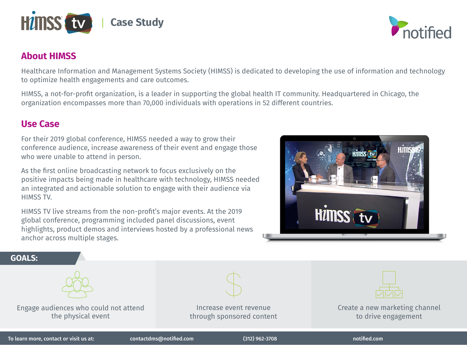

## **About HIMSS**

Healthcare Information and Management Systems Society (HIMSS) is dedicated to developing the use of information and technology to optimize health engagements and care outcomes.

HIMSS, a not-for-profit organization, is a leader in supporting the global health IT community. Headquartered in Chicago, the organization encompasses more than 70,000 individuals with operations in 52 different countries.

## **Use Case**

For their 2019 global conference, HIMSS needed a way to grow their conference audience, increase awareness of their event and engage those who were unable to attend in person.

As the first online broadcasting network to focus exclusively on the positive impacts being made in healthcare with technology, HIMSS needed an integrated and actionable solution to engage with their audience via HIMSS TV.

HIMSS TV live streams from the non-profit's major events. At the 2019 global conference, programming included panel discussions, event highlights, product demos and interviews hosted by a professional news anchor across multiple stages.



notified